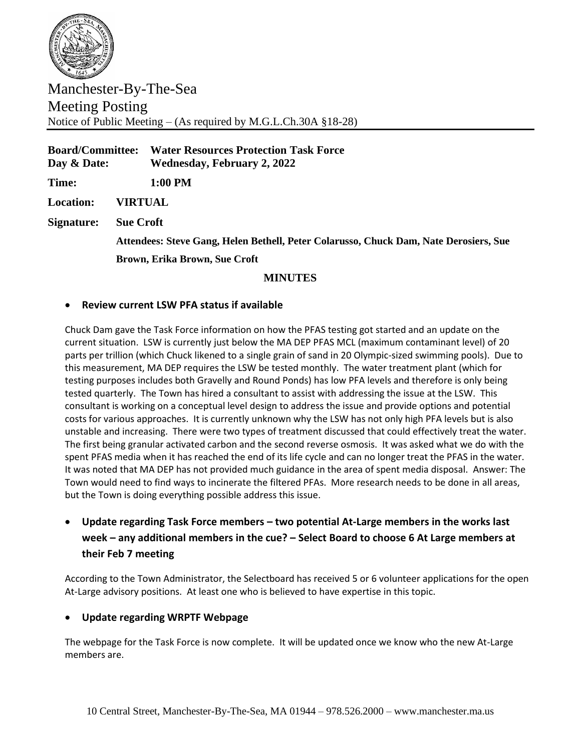

Manchester-By-The-Sea Meeting Posting Notice of Public Meeting – (As required by M.G.L.Ch.30A §18-28)

**Board/Committee: Water Resources Protection Task Force Day & Date: Wednesday, February 2, 2022 Time: 1:00 PM Location: VIRTUAL Signature: Sue Croft Attendees: Steve Gang, Helen Bethell, Peter Colarusso, Chuck Dam, Nate Derosiers, Sue Brown, Erika Brown, Sue Croft**

# **MINUTES**

# • **Review current LSW PFA status if available**

Chuck Dam gave the Task Force information on how the PFAS testing got started and an update on the current situation. LSW is currently just below the MA DEP PFAS MCL (maximum contaminant level) of 20 parts per trillion (which Chuck likened to a single grain of sand in 20 Olympic-sized swimming pools). Due to this measurement, MA DEP requires the LSW be tested monthly. The water treatment plant (which for testing purposes includes both Gravelly and Round Ponds) has low PFA levels and therefore is only being tested quarterly. The Town has hired a consultant to assist with addressing the issue at the LSW. This consultant is working on a conceptual level design to address the issue and provide options and potential costs for various approaches. It is currently unknown why the LSW has not only high PFA levels but is also unstable and increasing. There were two types of treatment discussed that could effectively treat the water. The first being granular activated carbon and the second reverse osmosis. It was asked what we do with the spent PFAS media when it has reached the end of its life cycle and can no longer treat the PFAS in the water. It was noted that MA DEP has not provided much guidance in the area of spent media disposal. Answer: The Town would need to find ways to incinerate the filtered PFAs. More research needs to be done in all areas, but the Town is doing everything possible address this issue.

# • **Update regarding Task Force members – two potential At-Large members in the works last week – any additional members in the cue? – Select Board to choose 6 At Large members at their Feb 7 meeting**

According to the Town Administrator, the Selectboard has received 5 or 6 volunteer applications for the open At-Large advisory positions. At least one who is believed to have expertise in this topic.

# • **Update regarding WRPTF Webpage**

The webpage for the Task Force is now complete. It will be updated once we know who the new At-Large members are.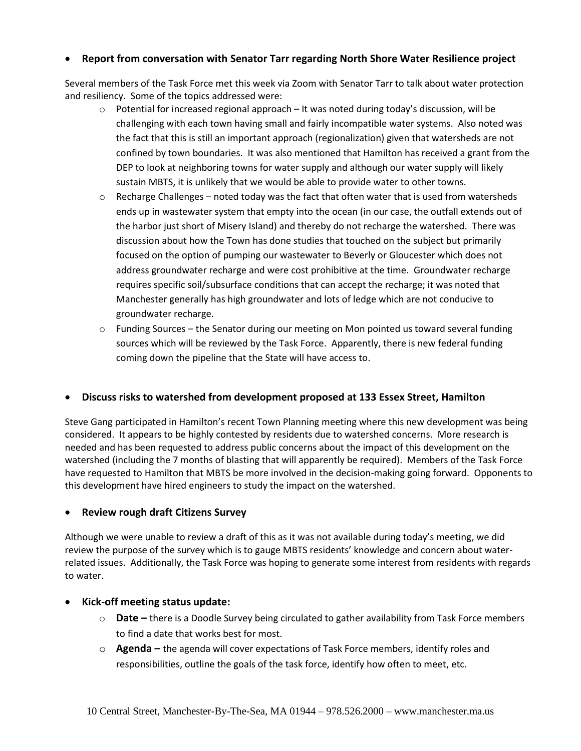# • **Report from conversation with Senator Tarr regarding North Shore Water Resilience project**

Several members of the Task Force met this week via Zoom with Senator Tarr to talk about water protection and resiliency. Some of the topics addressed were:

- $\circ$  Potential for increased regional approach It was noted during today's discussion, will be challenging with each town having small and fairly incompatible water systems. Also noted was the fact that this is still an important approach (regionalization) given that watersheds are not confined by town boundaries. It was also mentioned that Hamilton has received a grant from the DEP to look at neighboring towns for water supply and although our water supply will likely sustain MBTS, it is unlikely that we would be able to provide water to other towns.
- $\circ$  Recharge Challenges noted today was the fact that often water that is used from watersheds ends up in wastewater system that empty into the ocean (in our case, the outfall extends out of the harbor just short of Misery Island) and thereby do not recharge the watershed. There was discussion about how the Town has done studies that touched on the subject but primarily focused on the option of pumping our wastewater to Beverly or Gloucester which does not address groundwater recharge and were cost prohibitive at the time. Groundwater recharge requires specific soil/subsurface conditions that can accept the recharge; it was noted that Manchester generally has high groundwater and lots of ledge which are not conducive to groundwater recharge.
- $\circ$  Funding Sources the Senator during our meeting on Mon pointed us toward several funding sources which will be reviewed by the Task Force. Apparently, there is new federal funding coming down the pipeline that the State will have access to.

# • **Discuss risks to watershed from development proposed at 133 Essex Street, Hamilton**

Steve Gang participated in Hamilton's recent Town Planning meeting where this new development was being considered. It appears to be highly contested by residents due to watershed concerns. More research is needed and has been requested to address public concerns about the impact of this development on the watershed (including the 7 months of blasting that will apparently be required). Members of the Task Force have requested to Hamilton that MBTS be more involved in the decision-making going forward. Opponents to this development have hired engineers to study the impact on the watershed.

# • **Review rough draft Citizens Survey**

Although we were unable to review a draft of this as it was not available during today's meeting, we did review the purpose of the survey which is to gauge MBTS residents' knowledge and concern about waterrelated issues. Additionally, the Task Force was hoping to generate some interest from residents with regards to water.

# • **Kick-off meeting status update:**

- o **Date –** there is a Doodle Survey being circulated to gather availability from Task Force members to find a date that works best for most.
- o **Agenda –** the agenda will cover expectations of Task Force members, identify roles and responsibilities, outline the goals of the task force, identify how often to meet, etc.